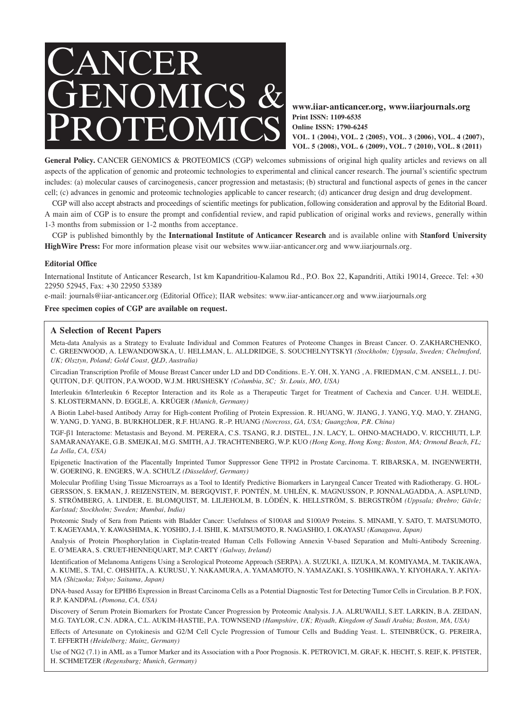

**www.iiar-anticancer.org, www.iiarjournals.org Print ISSN: 1109-6535 Online ISSN: 1790-6245 VOL. 1 (2004), VOL. 2 (2005), VOL. 3 (2006), VOL. 4 (2007), VOL. 5 (2008), VOL. 6 (2009), VOL. 7 (2010), VOL. 8 (2011)**

General Policy. CANCER GENOMICS & PROTEOMICS (CGP) welcomes submissions of original high quality articles and reviews on all aspects of the application of genomic and proteomic technologies to experimental and clinical cancer research. The journal's scientific spectrum includes: (a) molecular causes of carcinogenesis, cancer progression and metastasis; (b) structural and functional aspects of genes in the cancer cell; (c) advances in genomic and proteomic technologies applicable to cancer research; (d) anticancer drug design and drug development.

CGP will also accept abstracts and proceedings of scientific meetings for publication, following consideration and approval by the Editorial Board. A main aim of CGP is to ensure the prompt and confidential review, and rapid publication of original works and reviews, generally within 1-3 months from submission or 1-2 months from acceptance.

CGP is published bimonthly by the **International Institute of Anticancer Research** and is available online with **Stanford University HighWire Press:** For more information please visit our websites www.iiar-anticancer.org and www.iiarjournals.org.

## **Editorial Office**

International Institute of Anticancer Research, 1st km Kapandritiou-Kalamou Rd., P.O. Box 22, Kapandriti, Attiki 19014, Greece. Tel: +30 22950 52945, Fax: +30 22950 53389

e-mail: journals@iiar-anticancer.org (Editorial Office); IIAR websites: www.iiar-anticancer.org and www.iiarjournals.org

## **Free specimen copies of CGP are available on request.**

## **A Selection of Recent Papers**

Meta-data Analysis as a Strategy to Evaluate Individual and Common Features of Proteome Changes in Breast Cancer. O. ZAKHARCHENKO, C. GREENWOOD, A. LEWANDOWSKA, U. HELLMAN, L. ALLDRIDGE, S. SOUCHELNYTSKYI *(Stockholm; Uppsala, Sweden; Chelmsford, UK; Olsztyn, Poland; Gold Coast, QLD, Australia)*

Circadian Transcription Profile of Mouse Breast Cancer under LD and DD Conditions. E.-Y. OH, X. YANG , A. FRIEDMAN, C.M. ANSELL, J. DU-QUITON, D.F. QUITON, P.A.WOOD, W.J.M. HRUSHESKY *(Columbia, SC; St. Louis, MO, USA)*

Interleukin 6/Interleukin 6 Receptor Interaction and its Role as a Therapeutic Target for Treatment of Cachexia and Cancer. U.H. WEIDLE, S. KLOSTERMANN, D. EGGLE, A. KRÜGER *(Munich, Germany)*

A Biotin Label-based Antibody Array for High-content Profiling of Protein Expression. R. HUANG, W. JIANG, J. YANG, Y.Q. MAO, Y. ZHANG, W. YANG, D. YANG, B. BURKHOLDER, R.F. HUANG. R.-P. HUANG *(Norcross, GA, USA; Guangzhou, P.R. China)*

TGF-β1 Interactome: Metastasis and Beyond. M. PERERA, C.S. TSANG, R.J. DISTEL, J.N. LACY, L. OHNO-MACHADO, V. RICCHIUTI, L.P. SAMARANAYAKE, G.B. SMEJKAI, M.G. SMITH, A.J. TRACHTENBERG, W.P. KUO *(Hong Kong, Hong Kong; Boston, MA; Ormond Beach, FL; La Jolla, CA, USA)*

Epigenetic Inactivation of the Placentally Imprinted Tumor Suppressor Gene TFPI2 in Prostate Carcinoma. T. RIBARSKA, M. INGENWERTH, W. GOERING, R. ENGERS, W.A. SCHULZ *(Düsseldorf, Germany)*

Molecular Profiling Using Tissue Microarrays as a Tool to Identify Predictive Biomarkers in Laryngeal Cancer Treated with Radiotherapy. G. HOL-GERSSON, S. EKMAN, J. REIZENSTEIN, M. BERGQVIST, F. PONTÉN, M. UHLÉN, K. MAGNUSSON, P. JONNALAGADDA, A. ASPLUND, S. STRÖMBERG, A. LINDER, E. BLOMQUIST, M. LILJEHOLM, B. LÖDÉN, K. HELLSTRÖM, S. BERGSTRÖM *(Uppsala; Ørebro; Gävle; Karlstad; Stockholm; Sweden; Mumbai, India)*

Proteomic Study of Sera from Patients with Bladder Cancer: Usefulness of S100A8 and S100A9 Proteins. S. MINAMI, Y. SATO, T. MATSUMOTO, T. KAGEYAMA, Y. KAWASHIMA, K. YOSHIO, J.-I. ISHII, K. MATSUMOTO, R. NAGASHIO, I. OKAYASU *(Kanagawa, Japan)*

Analysis of Protein Phosphorylation in Cisplatin-treated Human Cells Following Annexin V-based Separation and Multi-Antibody Screening. E. O'MEARA, S. CRUET-HENNEQUART, M.P. CARTY *(Galway, Ireland)*

Identification of Melanoma Antigens Using a Serological Proteome Approach (SERPA). A. SUZUKI, A. IIZUKA, M. KOMIYAMA, M. TAKIKAWA, A. KUME, S. TAI, C. OHSHITA, A. KURUSU, Y. NAKAMURA, A. YAMAMOTO, N. YAMAZAKI, S. YOSHIKAWA, Y. KIYOHARA, Y. AKIYA-MA *(Shizuoka; Tokyo; Saitama, Japan)*

DNA-based Assay for EPHB6 Expression in Breast Carcinoma Cells as a Potential Diagnostic Test for Detecting Tumor Cells in Circulation. B.P. FOX, R.P. KANDPAL *(Pomona, CA, USA)*

Discovery of Serum Protein Biomarkers for Prostate Cancer Progression by Proteomic Analysis. J.A. ALRUWAILI, S.ET. LARKIN, B.A. ZEIDAN, M.G. TAYLOR, C.N. ADRA, C.L. AUKIM-HASTIE, P.A. TOWNSEND *(Hampshire, UK; Riyadh, Kingdom of Saudi Arabia; Boston, MA, USA)*

Effects of Artesunate on Cytokinesis and G2/M Cell Cycle Progression of Tumour Cells and Budding Yeast. L. STEINBRÜCK, G. PEREIRA, T. EFFERTH *(Heidelberg; Mainz, Germany)*

Use of NG2 (7.1) in AML as a Tumor Marker and its Association with a Poor Prognosis. K. PETROVICI, M. GRAF, K. HECHT, S. REIF, K. PFISTER, H. SCHMETZER *(Regensburg; Munich, Germany)*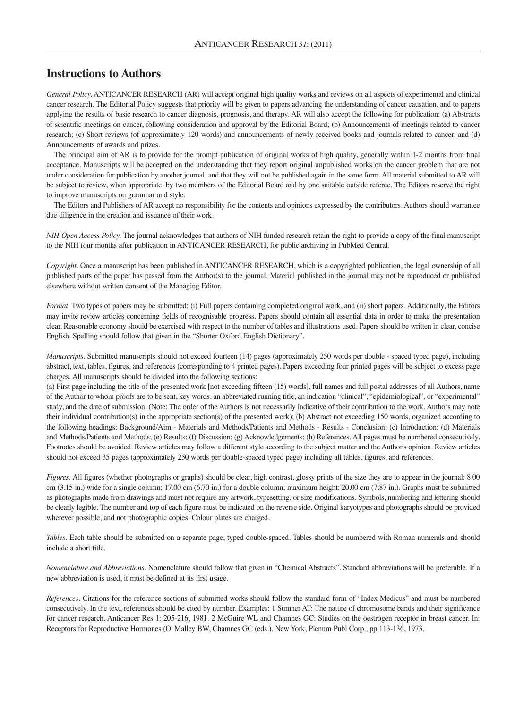## **Instructions to Authors**

*General Policy.* ANTICANCER RESEARCH (AR) will accept original high quality works and reviews on all aspects of experimental and clinical cancer research. The Editorial Policy suggests that priority will be given to papers advancing the understanding of cancer causation, and to papers applying the results of basic research to cancer diagnosis, prognosis, and therapy. AR will also accept the following for publication: (a) Abstracts of scientific meetings on cancer, following consideration and approval by the Editorial Board; (b) Announcements of meetings related to cancer research; (c) Short reviews (of approximately 120 words) and announcements of newly received books and journals related to cancer, and (d) Announcements of awards and prizes.

The principal aim of AR is to provide for the prompt publication of original works of high quality, generally within 1-2 months from final acceptance. Manuscripts will be accepted on the understanding that they report original unpublished works on the cancer problem that are not under consideration for publication by another journal, and that they will not be published again in the same form. All material submitted to AR will be subject to review, when appropriate, by two members of the Editorial Board and by one suitable outside referee. The Editors reserve the right to improve manuscripts on grammar and style.

The Editors and Publishers of AR accept no responsibility for the contents and opinions expressed by the contributors. Authors should warrantee due diligence in the creation and issuance of their work.

*NIH Open Access Policy.* The journal acknowledges that authors of NIH funded research retain the right to provide a copy of the final manuscript to the NIH four months after publication in ANTICANCER RESEARCH, for public archiving in PubMed Central.

*Copyright.* Once a manuscript has been published in ANTICANCER RESEARCH, which is a copyrighted publication, the legal ownership of all published parts of the paper has passed from the Author(s) to the journal. Material published in the journal may not be reproduced or published elsewhere without written consent of the Managing Editor.

*Format.* Two types of papers may be submitted: (i) Full papers containing completed original work, and (ii) short papers. Additionally, the Editors may invite review articles concerning fields of recognisable progress. Papers should contain all essential data in order to make the presentation clear. Reasonable economy should be exercised with respect to the number of tables and illustrations used. Papers should be written in clear, concise English. Spelling should follow that given in the "Shorter Oxford English Dictionary".

*Manuscripts*. Submitted manuscripts should not exceed fourteen (14) pages (approximately 250 words per double - spaced typed page), including abstract, text, tables, figures, and references (corresponding to 4 printed pages). Papers exceeding four printed pages will be subject to excess page charges. All manuscripts should be divided into the following sections:

(a) First page including the title of the presented work [not exceeding fifteen (15) words], full names and full postal addresses of all Authors, name of the Author to whom proofs are to be sent, key words, an abbreviated running title, an indication "clinical", "epidemiological", or "experimental" study, and the date of submission. (Note: The order of the Authors is not necessarily indicative of their contribution to the work. Authors may note their individual contribution(s) in the appropriate section(s) of the presented work); (b) Abstract not exceeding 150 words, organized according to the following headings: Background/Aim - Materials and Methods/Patients and Methods - Results - Conclusion; (c) Introduction; (d) Materials and Methods/Patients and Methods; (e) Results; (f) Discussion; (g) Acknowledgements; (h) References. All pages must be numbered consecutively. Footnotes should be avoided. Review articles may follow a different style according to the subject matter and the Author's opinion. Review articles should not exceed 35 pages (approximately 250 words per double-spaced typed page) including all tables, figures, and references.

*Figures.* All figures (whether photographs or graphs) should be clear, high contrast, glossy prints of the size they are to appear in the journal: 8.00 cm (3.15 in.) wide for a single column; 17.00 cm (6.70 in.) for a double column; maximum height: 20.00 cm (7.87 in.). Graphs must be submitted as photographs made from drawings and must not require any artwork, typesetting, or size modifications. Symbols, numbering and lettering should be clearly legible. The number and top of each figure must be indicated on the reverse side. Original karyotypes and photographs should be provided wherever possible, and not photographic copies. Colour plates are charged.

*Tables.* Each table should be submitted on a separate page, typed double-spaced. Tables should be numbered with Roman numerals and should include a short title.

*Nomenclature and Abbreviations.* Nomenclature should follow that given in "Chemical Abstracts". Standard abbreviations will be preferable. If a new abbreviation is used, it must be defined at its first usage.

*References.* Citations for the reference sections of submitted works should follow the standard form of "Index Medicus" and must be numbered consecutively. In the text, references should be cited by number. Examples: 1 Sumner AT: The nature of chromosome bands and their significance for cancer research. Anticancer Res 1: 205-216, 1981. 2 McGuire WL and Chamnes GC: Studies on the oestrogen receptor in breast cancer. In: Receptors for Reproductive Hormones (O' Malley BW, Chamnes GC (eds.). New York, Plenum Publ Corp., pp 113-136, 1973.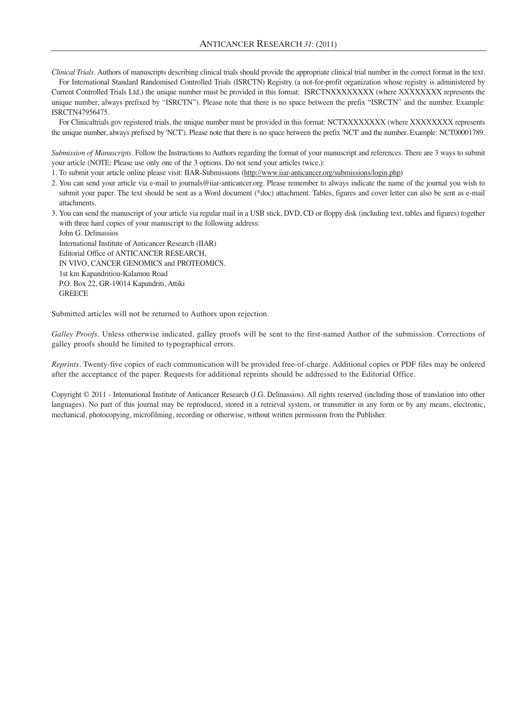*Clinical Trials.* Authors of manuscripts describing clinical trials should provide the appropriate clinical trial number in the correct format in the text.

For International Standard Randomised Controlled Trials (ISRCTN) Registry (a not-for-profit organization whose registry is administered by Current Controlled Trials Ltd.) the unique number must be provided in this format: ISRCTNXXXXXXXX (where XXXXXXXX represents the unique number, always prefixed by "ISRCTN"). Please note that there is no space between the prefix "ISRCTN" and the number. Example: ISRCTN47956475.

For Clinicaltrials.gov registered trials, the unique number must be provided in this format: NCTXXXXXXXX (where XXXXXXXX represents the unique number, always prefixed by 'NCT'). Please note that there is no space between the prefix 'NCT' and the number. Example: NCT00001789.

*Submission of Manuscripts.* Follow the Instructions to Authors regarding the format of your manuscript and references. There are 3 ways to submit your article (NOTE: Please use only one of the 3 options. Do not send your articles twice.):

1. To submit your article online please visit: IIAR-Submissions (http://www.iiar-anticancer.org/submissions/login.php)

- 2. You can send your article via e-mail to journals@iiar-anticancer.org. Please remember to always indicate the name of the journal you wish to submit your paper. The text should be sent as a Word document (\*doc) attachment. Tables, figures and cover letter can also be sent as e-mail attachments.
- 3. You can send the manuscript of your article via regular mail in a USB stick, DVD, CD or floppy disk (including text, tables and figures) together with three hard copies of your manuscript to the following address:

John G. Delinassios International Institute of Anticancer Research (IIAR) Editorial Office of ANTICANCER RESEARCH, IN VIVO, CANCER GENOMICS and PROTEOMICS. 1st km Kapandritiou-Kalamou Road P.O. Box 22, GR-19014 Kapandriti, Attiki **GREECE** 

Submitted articles will not be returned to Authors upon rejection.

*Galley Proofs.* Unless otherwise indicated, galley proofs will be sent to the first-named Author of the submission. Corrections of galley proofs should be limited to typographical errors.

*Reprints.* Twenty-five copies of each communication will be provided free-of-charge. Additional copies or PDF files may be ordered after the acceptance of the paper. Requests for additional reprints should be addressed to the Editorial Office.

Copyright © 2011 - International Institute of Anticancer Research (J.G. Delinassios). All rights reserved (including those of translation into other languages). No part of this journal may be reproduced, stored in a retrieval system, or transmitter in any form or by any means, electronic, mechanical, photocopying, microfilming, recording or otherwise, without written permission from the Publisher.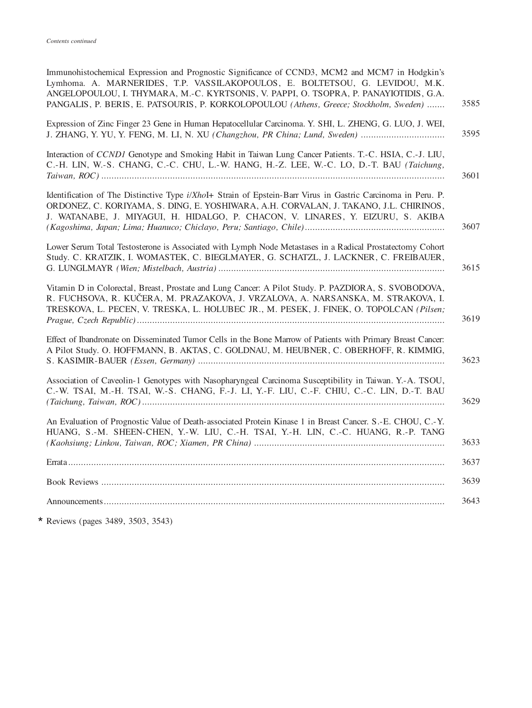| Immunohistochemical Expression and Prognostic Significance of CCND3, MCM2 and MCM7 in Hodgkin's<br>Lymhoma. A. MARNERIDES, T.P. VASSILAKOPOULOS, E. BOLTETSOU, G. LEVIDOU, M.K.<br>ANGELOPOULOU, I. THYMARA, M.-C. KYRTSONIS, V. PAPPI, O. TSOPRA, P. PANAYIOTIDIS, G.A.<br>PANGALIS, P. BERIS, E. PATSOURIS, P. KORKOLOPOULOU (Athens, Greece; Stockholm, Sweden) | 3585 |
|--------------------------------------------------------------------------------------------------------------------------------------------------------------------------------------------------------------------------------------------------------------------------------------------------------------------------------------------------------------------|------|
| Expression of Zinc Finger 23 Gene in Human Hepatocellular Carcinoma. Y. SHI, L. ZHENG, G. LUO, J. WEI,<br>J. ZHANG, Y. YU, Y. FENG, M. LI, N. XU (Changzhou, PR China; Lund, Sweden)                                                                                                                                                                               | 3595 |
| Interaction of CCND1 Genotype and Smoking Habit in Taiwan Lung Cancer Patients. T.-C. HSIA, C.-J. LIU,<br>C.-H. LIN, W.-S. CHANG, C.-C. CHU, L.-W. HANG, H.-Z. LEE, W.-C. LO, D.-T. BAU (Taichung,                                                                                                                                                                 | 3601 |
| Identification of The Distinctive Type i/XhoI+ Strain of Epstein-Barr Virus in Gastric Carcinoma in Peru. P.<br>ORDONEZ, C. KORIYAMA, S. DING, E. YOSHIWARA, A.H. CORVALAN, J. TAKANO, J.L. CHIRINOS,<br>J. WATANABE, J. MIYAGUI, H. HIDALGO, P. CHACON, V. LINARES, Y. EIZURU, S. AKIBA                                                                           | 3607 |
| Lower Serum Total Testosterone is Associated with Lymph Node Metastases in a Radical Prostatectomy Cohort<br>Study. C. KRATZIK, I. WOMASTEK, C. BIEGLMAYER, G. SCHATZL, J. LACKNER, C. FREIBAUER,                                                                                                                                                                  | 3615 |
| Vitamin D in Colorectal, Breast, Prostate and Lung Cancer: A Pilot Study. P. PAZDIORA, S. SVOBODOVA,<br>R. FUCHSOVA, R. KUČERA, M. PRAZAKOVA, J. VRZALOVA, A. NARSANSKA, M. STRAKOVA, I.<br>TRESKOVA, L. PECEN, V. TRESKA, L. HOLUBEC JR., M. PESEK, J. FINEK, O. TOPOLCAN (Pilsen;                                                                                | 3619 |
| Effect of Ibandronate on Disseminated Tumor Cells in the Bone Marrow of Patients with Primary Breast Cancer:<br>A Pilot Study. O. HOFFMANN, B. AKTAS, C. GOLDNAU, M. HEUBNER, C. OBERHOFF, R. KIMMIG,                                                                                                                                                              | 3623 |
| Association of Caveolin-1 Genotypes with Nasopharyngeal Carcinoma Susceptibility in Taiwan. Y.-A. TSOU,<br>C.-W. TSAI, M.-H. TSAI, W.-S. CHANG, F.-J. LI, Y.-F. LIU, C.-F. CHIU, C.-C. LIN, D.-T. BAU                                                                                                                                                              | 3629 |
| An Evaluation of Prognostic Value of Death-associated Protein Kinase 1 in Breast Cancer. S.-E. CHOU, C.-Y.<br>HUANG, S.-M. SHEEN-CHEN, Y.-W. LIU, C.-H. TSAI, Y.-H. LIN, C.-C. HUANG, R.-P. TANG                                                                                                                                                                   | 3633 |
|                                                                                                                                                                                                                                                                                                                                                                    | 3637 |
|                                                                                                                                                                                                                                                                                                                                                                    | 3639 |
|                                                                                                                                                                                                                                                                                                                                                                    | 3643 |
|                                                                                                                                                                                                                                                                                                                                                                    |      |

\* Reviews (pages 3489, 3503, 3543)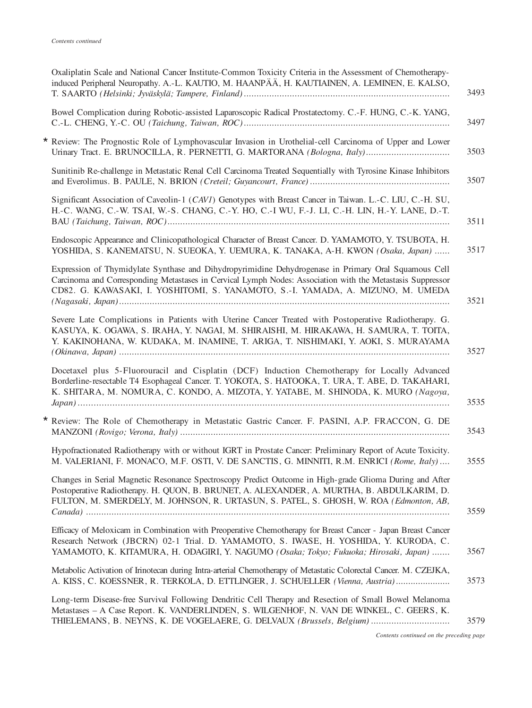|  | Oxaliplatin Scale and National Cancer Institute-Common Toxicity Criteria in the Assessment of Chemotherapy-<br>induced Peripheral Neuropathy. A.-L. KAUTIO, M. HAANPÄÄ, H. KAUTIAINEN, A. LEMINEN, E. KALSO,                                                                                          |
|--|-------------------------------------------------------------------------------------------------------------------------------------------------------------------------------------------------------------------------------------------------------------------------------------------------------|
|  | Bowel Complication during Robotic-assisted Laparoscopic Radical Prostatectomy. C.-F. HUNG, C.-K. YANG,                                                                                                                                                                                                |
|  | * Review: The Prognostic Role of Lymphovascular Invasion in Urothelial-cell Carcinoma of Upper and Lower                                                                                                                                                                                              |
|  | Sunitinib Re-challenge in Metastatic Renal Cell Carcinoma Treated Sequentially with Tyrosine Kinase Inhibitors                                                                                                                                                                                        |
|  | Significant Association of Caveolin-1 (CAVI) Genotypes with Breast Cancer in Taiwan, L.-C. LIU, C.-H. SU,<br>H.-C. WANG, C.-W. TSAI, W.-S. CHANG, C.-Y. HO, C.-I WU, F.-J. LI, C.-H. LIN, H.-Y. LANE, D.-T.                                                                                           |
|  | Endoscopic Appearance and Clinicopathological Character of Breast Cancer. D. YAMAMOTO, Y. TSUBOTA, H.<br>YOSHIDA, S. KANEMATSU, N. SUEOKA, Y. UEMURA, K. TANAKA, A-H. KWON (Osaka, Japan)                                                                                                             |
|  | Expression of Thymidylate Synthase and Dihydropyrimidine Dehydrogenase in Primary Oral Squamous Cell<br>Carcinoma and Corresponding Metastases in Cervical Lymph Nodes: Association with the Metastasis Suppressor<br>CD82. G. KAWASAKI, I. YOSHITOMI, S. YANAMOTO, S.-I. YAMADA, A. MIZUNO, M. UMEDA |
|  | Severe Late Complications in Patients with Uterine Cancer Treated with Postoperative Radiotherapy. G.<br>KASUYA, K. OGAWA, S. IRAHA, Y. NAGAI, M. SHIRAISHI, M. HIRAKAWA, H. SAMURA, T. TOITA,<br>Y. KAKINOHANA, W. KUDAKA, M. INAMINE, T. ARIGA, T. NISHIMAKI, Y. AOKI, S. MURAYAMA                  |
|  | Docetaxel plus 5-Fluorouracil and Cisplatin (DCF) Induction Chemotherapy for Locally Advanced<br>Borderline-resectable T4 Esophageal Cancer. T. YOKOTA, S. HATOOKA, T. URA, T. ABE, D. TAKAHARI,<br>K. SHITARA, M. NOMURA, C. KONDO, A. MIZOTA, Y. YATABE, M. SHINODA, K. MURO (Nagoya,               |
|  | * Review: The Role of Chemotherapy in Metastatic Gastric Cancer. F. PASINI, A.P. FRACCON, G. DE                                                                                                                                                                                                       |
|  | Hypofractionated Radiotherapy with or without IGRT in Prostate Cancer: Preliminary Report of Acute Toxicity.<br>M. VALERIANI, F. MONACO, M.F. OSTI, V. DE SANCTIS, G. MINNITI, R.M. ENRICI (Rome, Italy)                                                                                              |
|  | Changes in Serial Magnetic Resonance Spectroscopy Predict Outcome in High-grade Glioma During and After<br>Postoperative Radiotherapy. H. QUON, B. BRUNET, A. ALEXANDER, A. MURTHA, B. ABDULKARIM, D.<br>FULTON, M. SMERDELY, M. JOHNSON, R. URTASUN, S. PATEL, S. GHOSH, W. ROA (Edmonton, AB,       |
|  | Efficacy of Meloxicam in Combination with Preoperative Chemotherapy for Breast Cancer - Japan Breast Cancer<br>Research Network (JBCRN) 02-1 Trial. D. YAMAMOTO, S. IWASE, H. YOSHIDA, Y. KURODA, C.<br>YAMAMOTO, K. KITAMURA, H. ODAGIRI, Y. NAGUMO (Osaka; Tokyo; Fukuoka; Hirosaki, Japan)         |
|  | Metabolic Activation of Irinotecan during Intra-arterial Chemotherapy of Metastatic Colorectal Cancer. M. CZEJKA,<br>A. KISS, C. KOESSNER, R. TERKOLA, D. ETTLINGER, J. SCHUELLER (Vienna, Austria)                                                                                                   |
|  | Long-term Disease-free Survival Following Dendritic Cell Therapy and Resection of Small Bowel Melanoma<br>Metastases - A Case Report. K. VANDERLINDEN, S. WILGENHOF, N. VAN DE WINKEL, C. GEERS, K.<br>THIELEMANS, B. NEYNS, K. DE VOGELAERE, G. DELVAUX (Brussels, Belgium)                          |
|  |                                                                                                                                                                                                                                                                                                       |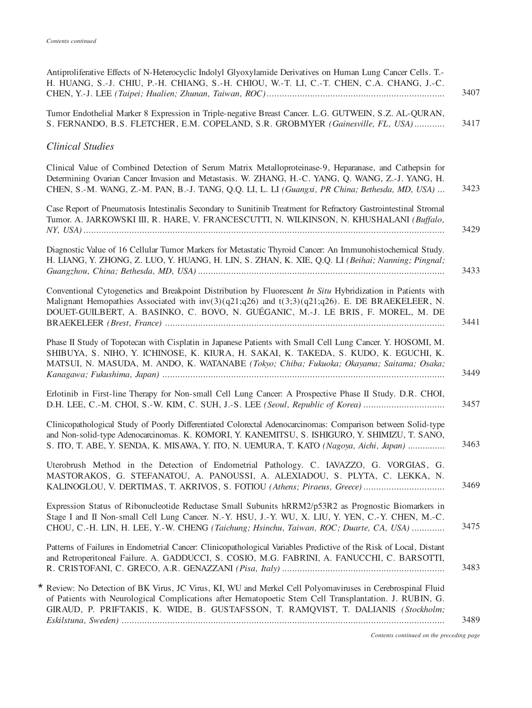| Antiproliferative Effects of N-Heterocyclic Indolyl Glyoxylamide Derivatives on Human Lung Cancer Cells. T.-<br>H. HUANG, S.-J. CHIU, P.-H. CHIANG, S.-H. CHIOU, W.-T. LI, C.-T. CHEN, C.A. CHANG, J.-C.                                                                                                       | 3407 |
|----------------------------------------------------------------------------------------------------------------------------------------------------------------------------------------------------------------------------------------------------------------------------------------------------------------|------|
| Tumor Endothelial Marker 8 Expression in Triple-negative Breast Cancer. L.G. GUTWEIN, S.Z. AL-QURAN,<br>S. FERNANDO, B.S. FLETCHER, E.M. COPELAND, S.R. GROBMYER (Gainesville, FL, USA)                                                                                                                        | 3417 |
| <b>Clinical Studies</b>                                                                                                                                                                                                                                                                                        |      |
| Clinical Value of Combined Detection of Serum Matrix Metalloproteinase-9, Heparanase, and Cathepsin for<br>Determining Ovarian Cancer Invasion and Metastasis. W. ZHANG, H.-C. YANG, Q. WANG, Z.-J. YANG, H.<br>CHEN, S.-M. WANG, Z.-M. PAN, B.-J. TANG, Q.Q. LI, L. LI (Guangxi, PR China; Bethesda, MD, USA) | 3423 |
| Case Report of Pneumatosis Intestinalis Secondary to Sunitinib Treatment for Refractory Gastrointestinal Stromal<br>Tumor. A. JARKOWSKI III, R. HARE, V. FRANCESCUTTI, N. WILKINSON, N. KHUSHALANI (Buffalo,                                                                                                   | 3429 |
| Diagnostic Value of 16 Cellular Tumor Markers for Metastatic Thyroid Cancer: An Immunohistochemical Study.<br>H. LIANG, Y. ZHONG, Z. LUO, Y. HUANG, H. LIN, S. ZHAN, K. XIE, Q.Q. LI (Beihai; Nanning; Pingnal;                                                                                                | 3433 |
| Conventional Cytogenetics and Breakpoint Distribution by Fluorescent In Situ Hybridization in Patients with<br>Malignant Hemopathies Associated with $inv(3)(q21;q26)$ and $t(3;3)(q21;q26)$ . E. DE BRAEKELEER, N.<br>DOUET-GUILBERT, A. BASINKO, C. BOVO, N. GUÉGANIC, M.-J. LE BRIS, F. MOREL, M. DE        | 3441 |
| Phase II Study of Topotecan with Cisplatin in Japanese Patients with Small Cell Lung Cancer. Y. HOSOMI, M.<br>SHIBUYA, S. NIHO, Y. ICHINOSE, K. KIURA, H. SAKAI, K. TAKEDA, S. KUDO, K. EGUCHI, K.<br>MATSUI, N. MASUDA, M. ANDO, K. WATANABE (Tokyo; Chiba; Fukuoka; Okayama; Saitama; Osaka;                 | 3449 |
| Erlotinib in First-line Therapy for Non-small Cell Lung Cancer: A Prospective Phase II Study. D.R. CHOI,<br>D.H. LEE, C.-M. CHOI, S.-W. KIM, C. SUH, J.-S. LEE (Seoul, Republic of Korea)                                                                                                                      | 3457 |
| Clinicopathological Study of Poorly Differentiated Colorectal Adenocarcinomas: Comparison between Solid-type<br>and Non-solid-type Adenocarcinomas. K. KOMORI, Y. KANEMITSU, S. ISHIGURO, Y. SHIMIZU, T. SANO,<br>S. ITO, T. ABE, Y. SENDA, K. MISAWA, Y. ITO, N. UEMURA, T. KATO (Nagoya, Aichi, Japan)       | 3463 |
| Uterobrush Method in the Detection of Endometrial Pathology. C. IAVAZZO, G. VORGIAS, G.<br>MASTORAKOS, G. STEFANATOU, A. PANOUSSI, A. ALEXIADOU, S. PLYTA, C. LEKKA, N.<br>KALINOGLOU, V. DERTIMAS, T. AKRIVOS, S. FOTIOU (Athens; Piraeus, Greece)                                                            | 3469 |
| Expression Status of Ribonucleotide Reductase Small Subunits hRRM2/p53R2 as Prognostic Biomarkers in<br>Stage I and II Non-small Cell Lung Cancer. N.-Y. HSU, J.-Y. WU, X. LIU, Y. YEN, C.-Y. CHEN, M.-C.<br>CHOU, C.-H. LIN, H. LEE, Y.-W. CHENG (Taichung; Hsinchu, Taiwan, ROC; Duarte, CA, USA)            | 3475 |
| Patterns of Failures in Endometrial Cancer: Clinicopathological Variables Predictive of the Risk of Local, Distant<br>and Retroperitoneal Failure. A. GADDUCCI, S. COSIO, M.G. FABRINI, A. FANUCCHI, C. BARSOTTI,                                                                                              | 3483 |
| * Review: No Detection of BK Virus, JC Virus, KI, WU and Merkel Cell Polyomaviruses in Cerebrospinal Fluid<br>of Patients with Neurological Complications after Hematopoetic Stem Cell Transplantation. J. RUBIN, G.<br>GIRAUD, P. PRIFTAKIS, K. WIDE, B. GUSTAFSSON, T. RAMQVIST, T. DALIANIS (Stockholm;     | 3489 |
|                                                                                                                                                                                                                                                                                                                |      |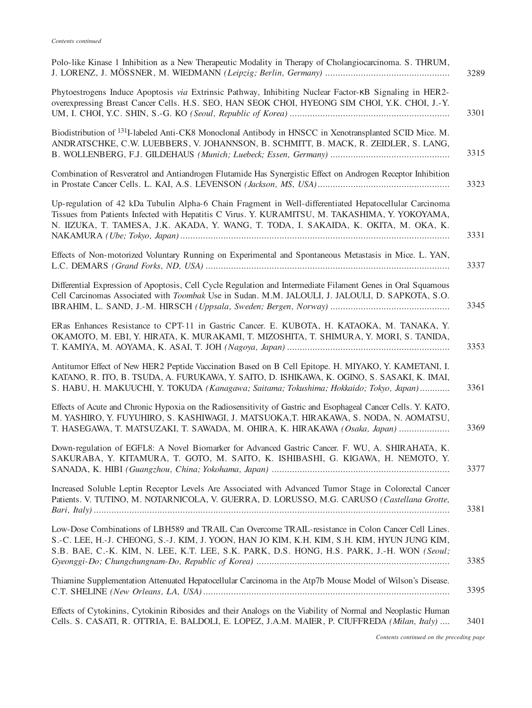| Polo-like Kinase 1 Inhibition as a New Therapeutic Modality in Therapy of Cholangiocarcinoma. S. THRUM,<br>3289                                                                                                                                                                                           |
|-----------------------------------------------------------------------------------------------------------------------------------------------------------------------------------------------------------------------------------------------------------------------------------------------------------|
| Phytoestrogens Induce Apoptosis via Extrinsic Pathway, Inhibiting Nuclear Factor-KB Signaling in HER2-<br>overexpressing Breast Cancer Cells. H.S. SEO, HAN SEOK CHOI, HYEONG SIM CHOI, Y.K. CHOI, J.-Y.<br>3301                                                                                          |
| Biodistribution of <sup>131</sup> I-labeled Anti-CK8 Monoclonal Antibody in HNSCC in Xenotransplanted SCID Mice. M.<br>ANDRATSCHKE, C.W. LUEBBERS, V. JOHANNSON, B. SCHMITT, B. MACK, R. ZEIDLER, S. LANG,<br>3315                                                                                        |
| Combination of Resveratrol and Antiandrogen Flutamide Has Synergistic Effect on Androgen Receptor Inhibition<br>3323                                                                                                                                                                                      |
| Up-regulation of 42 kDa Tubulin Alpha-6 Chain Fragment in Well-differentiated Hepatocellular Carcinoma<br>Tissues from Patients Infected with Hepatitis C Virus. Y. KURAMITSU, M. TAKASHIMA, Y. YOKOYAMA,<br>N. IIZUKA, T. TAMESA, J.K. AKADA, Y. WANG, T. TODA, I. SAKAIDA, K. OKITA, M. OKA, K.<br>3331 |
| Effects of Non-motorized Voluntary Running on Experimental and Spontaneous Metastasis in Mice. L. YAN,<br>3337                                                                                                                                                                                            |
| Differential Expression of Apoptosis, Cell Cycle Regulation and Intermediate Filament Genes in Oral Squamous<br>Cell Carcinomas Associated with Toombak Use in Sudan. M.M. JALOULI, J. JALOULI, D. SAPKOTA, S.O.<br>3345                                                                                  |
| ERas Enhances Resistance to CPT-11 in Gastric Cancer. E. KUBOTA, H. KATAOKA, M. TANAKA, Y.<br>OKAMOTO, M. EBI, Y. HIRATA, K. MURAKAMI, T. MIZOSHITA, T. SHIMURA, Y. MORI, S. TANIDA,<br>3353                                                                                                              |
| Antitumor Effect of New HER2 Peptide Vaccination Based on B Cell Epitope. H. MIYAKO, Y. KAMETANI, I.<br>KATANO, R. ITO, B. TSUDA, A. FURUKAWA, Y. SAITO, D. ISHIKAWA, K. OGINO, S. SASAKI, K. IMAI,<br>3361<br>S. HABU, H. MAKUUCHI, Y. TOKUDA (Kanagawa; Saitama; Tokushima; Hokkaido; Tokyo, Japan)     |
| Effects of Acute and Chronic Hypoxia on the Radiosensitivity of Gastric and Esophageal Cancer Cells. Y. KATO,<br>M. YASHIRO, Y. FUYUHIRO, S. KASHIWAGI, J. MATSUOKA,T. HIRAKAWA, S. NODA, N. AOMATSU,<br>3369<br>T. HASEGAWA, T. MATSUZAKI, T. SAWADA, M. OHIRA, K. HIRAKAWA (Osaka, Japan)               |
| Down-regulation of EGFL8: A Novel Biomarker for Advanced Gastric Cancer. F. WU, A. SHIRAHATA, K.<br>SAKURABA, Y. KITAMURA, T. GOTO, M. SAITO, K. ISHIBASHI, G. KIGAWA, H. NEMOTO, Y.<br>3377                                                                                                              |
| Increased Soluble Leptin Receptor Levels Are Associated with Advanced Tumor Stage in Colorectal Cancer<br>Patients. V. TUTINO, M. NOTARNICOLA, V. GUERRA, D. LORUSSO, M.G. CARUSO (Castellana Grotte,<br>3381                                                                                             |
| Low-Dose Combinations of LBH589 and TRAIL Can Overcome TRAIL-resistance in Colon Cancer Cell Lines.<br>S.-C. LEE, H.-J. CHEONG, S.-J. KIM, J. YOON, HAN JO KIM, K.H. KIM, S.H. KIM, HYUN JUNG KIM,<br>S.B. BAE, C.-K. KIM, N. LEE, K.T. LEE, S.K. PARK, D.S. HONG, H.S. PARK, J.-H. WON (Seoul;<br>3385   |
| Thiamine Supplementation Attenuated Hepatocellular Carcinoma in the Atp7b Mouse Model of Wilson's Disease.<br>3395                                                                                                                                                                                        |
| Effects of Cytokinins, Cytokinin Ribosides and their Analogs on the Viability of Normal and Neoplastic Human<br>Cells. S. CASATI, R. OTTRIA, E. BALDOLI, E. LOPEZ, J.A.M. MAIER, P. CIUFFREDA (Milan, Italy)<br>3401                                                                                      |